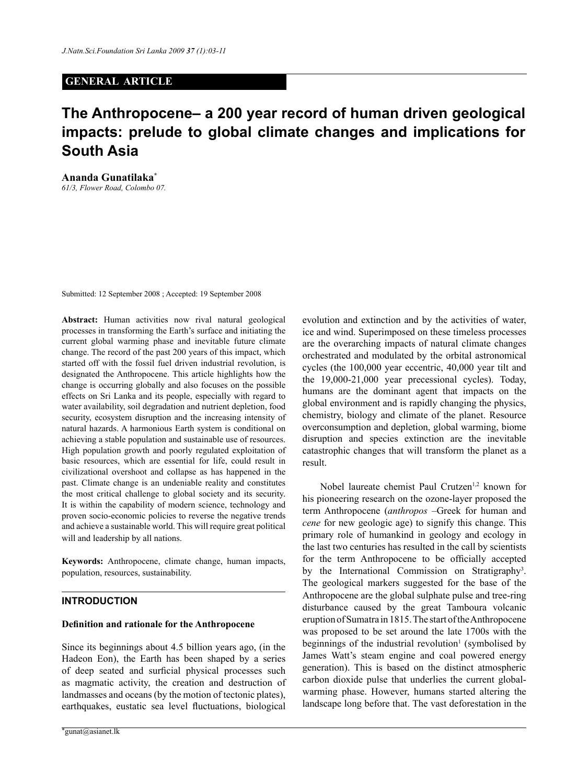## **GENERAL ARTICLE**

# **The Anthropocene– a 200 year record of human driven geological impacts: prelude to global climate changes and implications for South Asia**

**Ananda Gunatilaka\*** *61/3, Flower Road, Colombo 07.*

Submitted: 12 September 2008 ; Accepted: 19 September 2008

**Abstract:** Human activities now rival natural geological processes in transforming the Earth's surface and initiating the current global warming phase and inevitable future climate change. The record of the past 200 years of this impact, which started off with the fossil fuel driven industrial revolution, is designated the Anthropocene. This article highlights how the change is occurring globally and also focuses on the possible effects on Sri Lanka and its people, especially with regard to water availability, soil degradation and nutrient depletion, food security, ecosystem disruption and the increasing intensity of natural hazards. A harmonious Earth system is conditional on achieving a stable population and sustainable use of resources. High population growth and poorly regulated exploitation of basic resources, which are essential for life, could result in civilizational overshoot and collapse as has happened in the past. Climate change is an undeniable reality and constitutes the most critical challenge to global society and its security. It is within the capability of modern science, technology and proven socio-economic policies to reverse the negative trends and achieve a sustainable world. This will require great political will and leadership by all nations.

**Keywords:** Anthropocene, climate change, human impacts, population, resources, sustainability.

## **Introduction**

#### **Definition and rationale for the Anthropocene**

Since its beginnings about 4.5 billion years ago, (in the Hadeon Eon), the Earth has been shaped by a series of deep seated and surficial physical processes such as magmatic activity, the creation and destruction of landmasses and oceans (by the motion of tectonic plates), earthquakes, eustatic sea level fluctuations, biological

evolution and extinction and by the activities of water, ice and wind. Superimposed on these timeless processes are the overarching impacts of natural climate changes orchestrated and modulated by the orbital astronomical cycles (the 100,000 year eccentric, 40,000 year tilt and the 19,000-21,000 year precessional cycles). Today, humans are the dominant agent that impacts on the global environment and is rapidly changing the physics, chemistry, biology and climate of the planet. Resource overconsumption and depletion, global warming, biome disruption and species extinction are the inevitable catastrophic changes that will transform the planet as a result.

Nobel laureate chemist Paul Crutzen<sup>1,2</sup> known for his pioneering research on the ozone-layer proposed the term Anthropocene (*anthropos* –Greek for human and *cene* for new geologic age) to signify this change. This primary role of humankind in geology and ecology in the last two centuries has resulted in the call by scientists for the term Anthropocene to be officially accepted by the International Commission on Stratigraphy<sup>3</sup>. The geological markers suggested for the base of the Anthropocene are the global sulphate pulse and tree-ring disturbance caused by the great Tamboura volcanic eruption of Sumatra in 1815. The start of the Anthropocene was proposed to be set around the late 1700s with the beginnings of the industrial revolution $1$  (symbolised by James Watt's steam engine and coal powered energy generation). This is based on the distinct atmospheric carbon dioxide pulse that underlies the current globalwarming phase. However, humans started altering the landscape long before that. The vast deforestation in the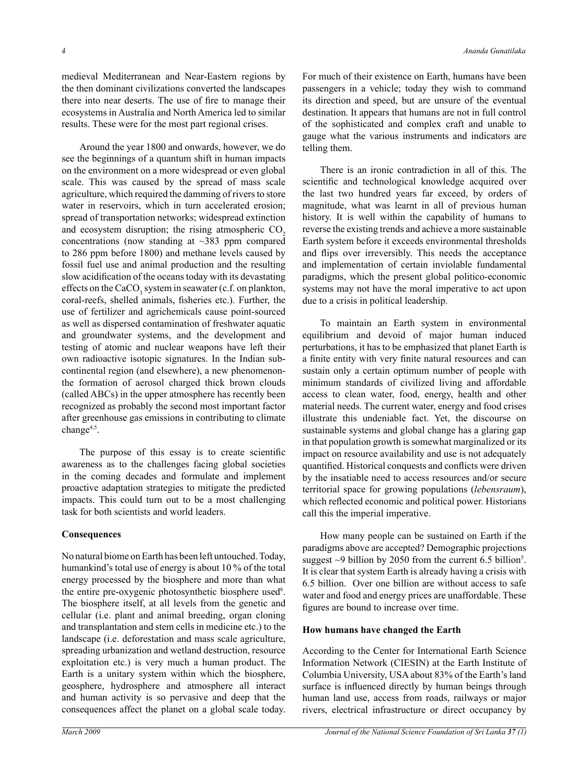medieval Mediterranean and Near-Eastern regions by the then dominant civilizations converted the landscapes there into near deserts. The use of fire to manage their ecosystems in Australia and North America led to similar results. These were for the most part regional crises.

Around the year 1800 and onwards, however, we do see the beginnings of a quantum shift in human impacts on the environment on a more widespread or even global scale. This was caused by the spread of mass scale agriculture, which required the damming of rivers to store water in reservoirs, which in turn accelerated erosion; spread of transportation networks; widespread extinction and ecosystem disruption; the rising atmospheric  $CO<sub>2</sub>$ concentrations (now standing at  $\sim$ 383 ppm compared to 286 ppm before 1800) and methane levels caused by fossil fuel use and animal production and the resulting slow acidification of the oceans today with its devastating effects on the  $CaCO<sub>3</sub>$  system in seawater (c.f. on plankton, coral-reefs, shelled animals, fisheries etc.). Further, the use of fertilizer and agrichemicals cause point-sourced as well as dispersed contamination of freshwater aquatic and groundwater systems, and the development and testing of atomic and nuclear weapons have left their own radioactive isotopic signatures. In the Indian subcontinental region (and elsewhere), a new phenomenonthe formation of aerosol charged thick brown clouds (called ABCs) in the upper atmosphere has recently been recognized as probably the second most important factor after greenhouse gas emissions in contributing to climate change<sup>4,5</sup>.

The purpose of this essay is to create scientific awareness as to the challenges facing global societies in the coming decades and formulate and implement proactive adaptation strategies to mitigate the predicted impacts. This could turn out to be a most challenging task for both scientists and world leaders.

## **Consequences**

No natural biome on Earth has been left untouched. Today, humankind's total use of energy is about 10 % of the total energy processed by the biosphere and more than what the entire pre-oxygenic photosynthetic biosphere used<sup>6</sup>. The biosphere itself, at all levels from the genetic and cellular (i.e. plant and animal breeding, organ cloning and transplantation and stem cells in medicine etc.) to the landscape (i.e. deforestation and mass scale agriculture, spreading urbanization and wetland destruction, resource exploitation etc.) is very much a human product. The Earth is a unitary system within which the biosphere, geosphere, hydrosphere and atmosphere all interact and human activity is so pervasive and deep that the consequences affect the planet on a global scale today.

For much of their existence on Earth, humans have been passengers in a vehicle; today they wish to command its direction and speed, but are unsure of the eventual destination. It appears that humans are not in full control of the sophisticated and complex craft and unable to gauge what the various instruments and indicators are telling them.

There is an ironic contradiction in all of this. The scientific and technological knowledge acquired over the last two hundred years far exceed, by orders of magnitude, what was learnt in all of previous human history. It is well within the capability of humans to reverse the existing trends and achieve a more sustainable Earth system before it exceeds environmental thresholds and flips over irreversibly. This needs the acceptance and implementation of certain inviolable fundamental paradigms, which the present global politico-economic systems may not have the moral imperative to act upon due to a crisis in political leadership.

To maintain an Earth system in environmental equilibrium and devoid of major human induced perturbations, it has to be emphasized that planet Earth is a finite entity with very finite natural resources and can sustain only a certain optimum number of people with minimum standards of civilized living and affordable access to clean water, food, energy, health and other material needs. The current water, energy and food crises illustrate this undeniable fact. Yet, the discourse on sustainable systems and global change has a glaring gap in that population growth is somewhat marginalized or its impact on resource availability and use is not adequately quantified. Historical conquests and conflicts were driven by the insatiable need to access resources and/or secure territorial space for growing populations (*lebensraum*), which reflected economic and political power. Historians call this the imperial imperative.

How many people can be sustained on Earth if the paradigms above are accepted? Demographic projections suggest  $\sim$ 9 billion by 2050 from the current 6.5 billion<sup>5</sup>. It is clear that system Earth is already having a crisis with 6.5 billion. Over one billion are without access to safe water and food and energy prices are unaffordable. These figures are bound to increase over time.

## **How humans have changed the Earth**

According to the Center for International Earth Science Information Network (CIESIN) at the Earth Institute of Columbia University, USA about 83% of the Earth's land surface is influenced directly by human beings through human land use, access from roads, railways or major rivers, electrical infrastructure or direct occupancy by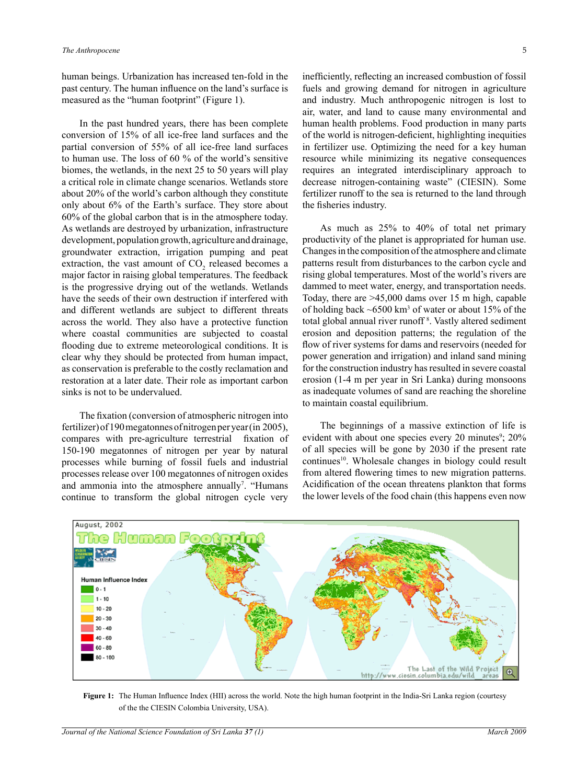human beings. Urbanization has increased ten-fold in the past century. The human influence on the land's surface is measured as the "human footprint" (Figure 1).

In the past hundred years, there has been complete conversion of 15% of all ice-free land surfaces and the partial conversion of 55% of all ice-free land surfaces to human use. The loss of 60 % of the world's sensitive biomes, the wetlands, in the next 25 to 50 years will play a critical role in climate change scenarios. Wetlands store about 20% of the world's carbon although they constitute only about 6% of the Earth's surface. They store about 60% of the global carbon that is in the atmosphere today. As wetlands are destroyed by urbanization, infrastructure development, population growth, agriculture and drainage, groundwater extraction, irrigation pumping and peat extraction, the vast amount of  $CO<sub>2</sub>$  released becomes a major factor in raising global temperatures. The feedback is the progressive drying out of the wetlands. Wetlands have the seeds of their own destruction if interfered with and different wetlands are subject to different threats across the world. They also have a protective function where coastal communities are subjected to coastal flooding due to extreme meteorological conditions. It is clear why they should be protected from human impact, as conservation is preferable to the costly reclamation and restoration at a later date. Their role as important carbon sinks is not to be undervalued.

The fixation (conversion of atmospheric nitrogen into fertilizer) of 190 megatonnes of nitrogen per year (in 2005), compares with pre-agriculture terrestrial fixation of 150-190 megatonnes of nitrogen per year by natural processes while burning of fossil fuels and industrial processes release over 100 megatonnes of nitrogen oxides and ammonia into the atmosphere annually<sup>7</sup>. "Humans continue to transform the global nitrogen cycle very

inefficiently, reflecting an increased combustion of fossil fuels and growing demand for nitrogen in agriculture and industry. Much anthropogenic nitrogen is lost to air, water, and land to cause many environmental and human health problems. Food production in many parts of the world is nitrogen-deficient, highlighting inequities in fertilizer use. Optimizing the need for a key human resource while minimizing its negative consequences requires an integrated interdisciplinary approach to decrease nitrogen-containing waste" (CIESIN). Some fertilizer runoff to the sea is returned to the land through the fisheries industry.

As much as 25% to 40% of total net primary productivity of the planet is appropriated for human use. Changes in the composition of the atmosphere and climate patterns result from disturbances to the carbon cycle and rising global temperatures. Most of the world's rivers are dammed to meet water, energy, and transportation needs. Today, there are >45,000 dams over 15 m high, capable of holding back  $\sim 6500 \text{ km}^3$  of water or about 15% of the total global annual river runoff<sup>8</sup>. Vastly altered sediment erosion and deposition patterns; the regulation of the flow of river systems for dams and reservoirs (needed for power generation and irrigation) and inland sand mining for the construction industry has resulted in severe coastal erosion (1-4 m per year in Sri Lanka) during monsoons as inadequate volumes of sand are reaching the shoreline to maintain coastal equilibrium.

The beginnings of a massive extinction of life is evident with about one species every 20 minutes<sup>9</sup>; 20% of all species will be gone by 2030 if the present rate continues<sup>10</sup>. Wholesale changes in biology could result from altered flowering times to new migration patterns. Acidification of the ocean threatens plankton that forms the lower levels of the food chain (this happens even now



**Figure 1:** The Human Influence Index (HII) across the world. Note the high human footprint in the India-Sri Lanka region (courtesy of the the CIESIN Colombia University, USA).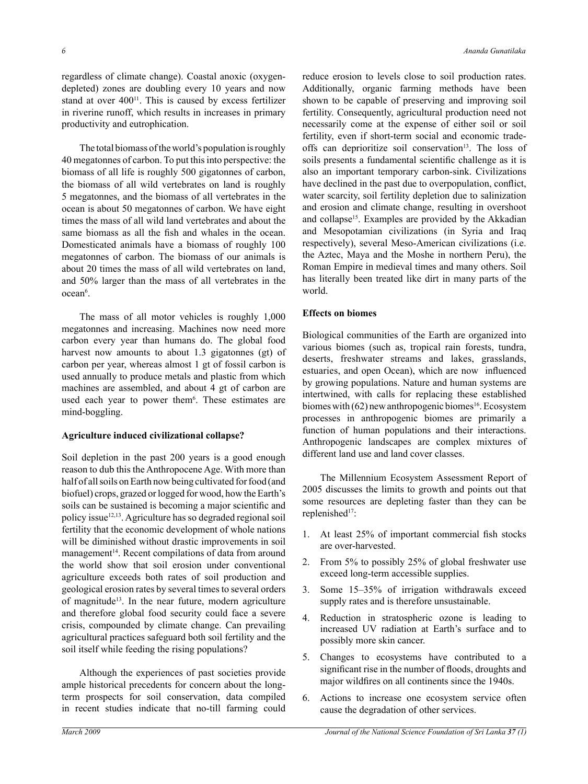regardless of climate change). Coastal anoxic (oxygendepleted) zones are doubling every 10 years and now stand at over  $400<sup>11</sup>$ . This is caused by excess fertilizer in riverine runoff, which results in increases in primary productivity and eutrophication.

The total biomass of the world's population is roughly 40 megatonnes of carbon. To put this into perspective: the biomass of all life is roughly 500 gigatonnes of carbon, the biomass of all wild vertebrates on land is roughly 5 megatonnes, and the biomass of all vertebrates in the ocean is about 50 megatonnes of carbon. We have eight times the mass of all wild land vertebrates and about the same biomass as all the fish and whales in the ocean. Domesticated animals have a biomass of roughly 100 megatonnes of carbon. The biomass of our animals is about 20 times the mass of all wild vertebrates on land, and 50% larger than the mass of all vertebrates in the ocean<sup>6</sup>.

The mass of all motor vehicles is roughly 1,000 megatonnes and increasing. Machines now need more carbon every year than humans do. The global food harvest now amounts to about 1.3 gigatonnes (gt) of carbon per year, whereas almost 1 gt of fossil carbon is used annually to produce metals and plastic from which machines are assembled, and about 4 gt of carbon are used each year to power them<sup>6</sup>. These estimates are mind-boggling.

## **Agriculture induced civilizational collapse?**

Soil depletion in the past 200 years is a good enough reason to dub this the Anthropocene Age. With more than half of all soils on Earth now being cultivated for food (and biofuel) crops, grazed or logged for wood, how the Earth's soils can be sustained is becoming a major scientific and policy issue12,13. Agriculture has so degraded regional soil fertility that the economic development of whole nations will be diminished without drastic improvements in soil management<sup>14</sup>. Recent compilations of data from around the world show that soil erosion under conventional agriculture exceeds both rates of soil production and geological erosion rates by several times to several orders of magnitude13. In the near future, modern agriculture and therefore global food security could face a severe crisis, compounded by climate change. Can prevailing agricultural practices safeguard both soil fertility and the soil itself while feeding the rising populations?

Although the experiences of past societies provide ample historical precedents for concern about the longterm prospects for soil conservation, data compiled in recent studies indicate that no-till farming could reduce erosion to levels close to soil production rates. Additionally, organic farming methods have been shown to be capable of preserving and improving soil fertility. Consequently, agricultural production need not necessarily come at the expense of either soil or soil fertility, even if short-term social and economic tradeoffs can deprioritize soil conservation<sup>13</sup>. The loss of soils presents a fundamental scientific challenge as it is also an important temporary carbon-sink. Civilizations have declined in the past due to overpopulation, conflict, water scarcity, soil fertility depletion due to salinization and erosion and climate change, resulting in overshoot and collapse15. Examples are provided by the Akkadian and Mesopotamian civilizations (in Syria and Iraq respectively), several Meso-American civilizations (i.e. the Aztec, Maya and the Moshe in northern Peru), the Roman Empire in medieval times and many others. Soil has literally been treated like dirt in many parts of the world.

### **Effects on biomes**

Biological communities of the Earth are organized into various biomes (such as, tropical rain forests, tundra, deserts, freshwater streams and lakes, grasslands, estuaries, and open Ocean), which are now influenced by growing populations. Nature and human systems are intertwined, with calls for replacing these established biomes with (62) new anthropogenic biomes<sup>16</sup>. Ecosystem processes in anthropogenic biomes are primarily a function of human populations and their interactions. Anthropogenic landscapes are complex mixtures of different land use and land cover classes.

The Millennium Ecosystem Assessment Report of 2005 discusses the limits to growth and points out that some resources are depleting faster than they can be replenished<sup>17</sup>:

- 1. At least 25% of important commercial fish stocks are over-harvested.
- 2. From 5% to possibly 25% of global freshwater use exceed long-term accessible supplies.
- 3. Some 15–35% of irrigation withdrawals exceed supply rates and is therefore unsustainable.
- 4. Reduction in stratospheric ozone is leading to increased UV radiation at Earth's surface and to possibly more skin cancer.
- 5. Changes to ecosystems have contributed to a significant rise in the number of floods, droughts and major wildfires on all continents since the 1940s.
- 6. Actions to increase one ecosystem service often cause the degradation of other services.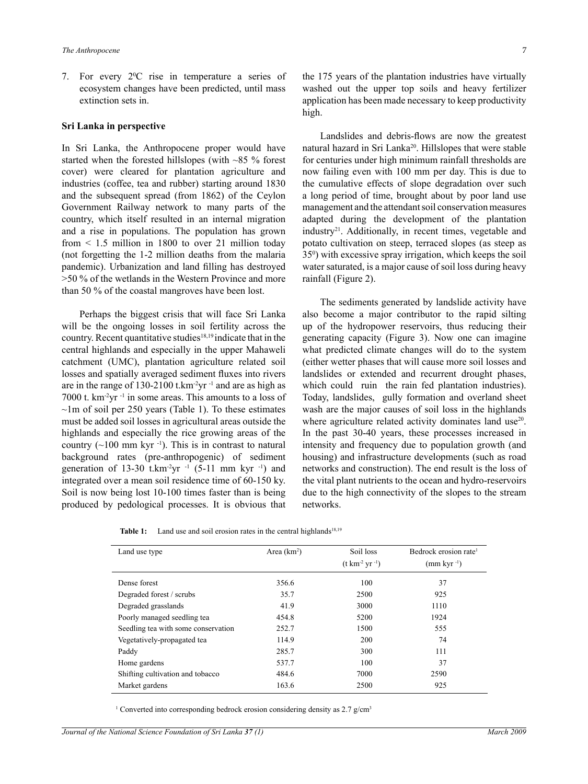7. For every  $2^{\circ}$ C rise in temperature a series of ecosystem changes have been predicted, until mass extinction sets in.

## **Sri Lanka in perspective**

In Sri Lanka, the Anthropocene proper would have started when the forested hillslopes (with ~85 % forest cover) were cleared for plantation agriculture and industries (coffee, tea and rubber) starting around 1830 and the subsequent spread (from 1862) of the Ceylon Government Railway network to many parts of the country, which itself resulted in an internal migration and a rise in populations. The population has grown from  $\leq$  1.5 million in 1800 to over 21 million today (not forgetting the 1-2 million deaths from the malaria pandemic). Urbanization and land filling has destroyed >50 % of the wetlands in the Western Province and more than 50 % of the coastal mangroves have been lost.

Perhaps the biggest crisis that will face Sri Lanka will be the ongoing losses in soil fertility across the country. Recent quantitative studies<sup>18,19</sup> indicate that in the central highlands and especially in the upper Mahaweli catchment (UMC), plantation agriculture related soil losses and spatially averaged sediment fluxes into rivers are in the range of 130-2100 t.km-2yr -1 and are as high as 7000 t. km-2yr -1 in some areas. This amounts to a loss of  $\sim$ 1m of soil per 250 years (Table 1). To these estimates must be added soil losses in agricultural areas outside the highlands and especially the rice growing areas of the country  $(\sim 100$  mm kyr<sup>-1</sup>). This is in contrast to natural background rates (pre-anthropogenic) of sediment generation of 13-30 t.km<sup>-2</sup>yr  $-1$  (5-11 mm kyr  $-1$ ) and integrated over a mean soil residence time of 60-150 ky. Soil is now being lost 10-100 times faster than is being produced by pedological processes. It is obvious that

the 175 years of the plantation industries have virtually washed out the upper top soils and heavy fertilizer application has been made necessary to keep productivity high.

Landslides and debris-flows are now the greatest natural hazard in Sri Lanka<sup>20</sup>. Hillslopes that were stable for centuries under high minimum rainfall thresholds are now failing even with 100 mm per day. This is due to the cumulative effects of slope degradation over such a long period of time, brought about by poor land use management and the attendant soil conservation measures adapted during the development of the plantation industry21. Additionally, in recent times, vegetable and potato cultivation on steep, terraced slopes (as steep as 350 ) with excessive spray irrigation, which keeps the soil water saturated, is a major cause of soil loss during heavy rainfall (Figure 2).

The sediments generated by landslide activity have also become a major contributor to the rapid silting up of the hydropower reservoirs, thus reducing their generating capacity (Figure 3). Now one can imagine what predicted climate changes will do to the system (either wetter phases that will cause more soil losses and landslides or extended and recurrent drought phases, which could ruin the rain fed plantation industries). Today, landslides, gully formation and overland sheet wash are the major causes of soil loss in the highlands where agriculture related activity dominates land use<sup>20</sup>. In the past 30-40 years, these processes increased in intensity and frequency due to population growth (and housing) and infrastructure developments (such as road networks and construction). The end result is the loss of the vital plant nutrients to the ocean and hydro-reservoirs due to the high connectivity of the slopes to the stream networks.

**Table 1:** Land use and soil erosion rates in the central highlands<sup>18,19</sup>

| Land use type                       | Area $(km2)$ | Soil loss<br>$(t \text{ km}^{-2} \text{ yr}^{-1})$ | Bedrock erosion rate <sup>1</sup><br>$\text{mm}$ kyr $^{-1}$ ) |
|-------------------------------------|--------------|----------------------------------------------------|----------------------------------------------------------------|
| Dense forest                        | 356.6        | 100                                                | 37                                                             |
| Degraded forest / scrubs            | 35.7         | 2500                                               | 925                                                            |
| Degraded grasslands                 | 41.9         | 3000                                               | 1110                                                           |
| Poorly managed seedling tea         | 454.8        | 5200                                               | 1924                                                           |
| Seedling tea with some conservation | 252.7        | 1500                                               | 555                                                            |
| Vegetatively-propagated tea         | 114.9        | 200                                                | 74                                                             |
| Paddy                               | 285.7        | 300                                                | 111                                                            |
| Home gardens                        | 537.7        | 100                                                | 37                                                             |
| Shifting cultivation and tobacco    | 484.6        | 7000                                               | 2590                                                           |
| Market gardens                      | 163.6        | 2500                                               | 925                                                            |

<sup>1</sup> Converted into corresponding bedrock erosion considering density as 2.7 g/cm<sup>3</sup>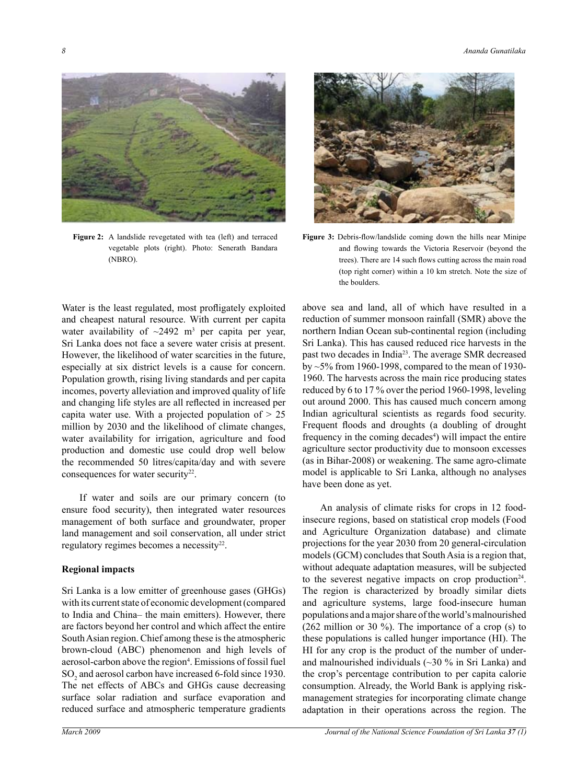

**Figure 2:** A landslide revegetated with tea (left) and terraced vegetable plots (right). Photo: Senerath Bandara (NBRO).

Water is the least regulated, most profligately exploited and cheapest natural resource. With current per capita water availability of  $\sim$ 2492 m<sup>3</sup> per capita per year, Sri Lanka does not face a severe water crisis at present. However, the likelihood of water scarcities in the future, especially at six district levels is a cause for concern. Population growth, rising living standards and per capita incomes, poverty alleviation and improved quality of life and changing life styles are all reflected in increased per capita water use. With a projected population of  $> 25$ million by 2030 and the likelihood of climate changes, water availability for irrigation, agriculture and food production and domestic use could drop well below the recommended 50 litres/capita/day and with severe consequences for water security<sup>22</sup>.

If water and soils are our primary concern (to ensure food security), then integrated water resources management of both surface and groundwater, proper land management and soil conservation, all under strict regulatory regimes becomes a necessity<sup>22</sup>.

#### **Regional impacts**

Sri Lanka is a low emitter of greenhouse gases (GHGs) with its current state of economic development (compared to India and China– the main emitters). However, there are factors beyond her control and which affect the entire South Asian region. Chief among these is the atmospheric brown-cloud (ABC) phenomenon and high levels of aerosol-carbon above the region<sup>4</sup>. Emissions of fossil fuel SO<sub>2</sub> and aerosol carbon have increased 6-fold since 1930. The net effects of ABCs and GHGs cause decreasing surface solar radiation and surface evaporation and reduced surface and atmospheric temperature gradients



**Figure 3:** Debris-flow/landslide coming down the hills near Minipe and flowing towards the Victoria Reservoir (beyond the trees). There are 14 such flows cutting across the main road (top right corner) within a 10 km stretch. Note the size of the boulders.

above sea and land, all of which have resulted in a reduction of summer monsoon rainfall (SMR) above the northern Indian Ocean sub-continental region (including Sri Lanka). This has caused reduced rice harvests in the past two decades in India<sup>23</sup>. The average SMR decreased by ~5% from 1960-1998, compared to the mean of 1930- 1960. The harvests across the main rice producing states reduced by 6 to 17 % over the period 1960-1998, leveling out around 2000. This has caused much concern among Indian agricultural scientists as regards food security. Frequent floods and droughts (a doubling of drought frequency in the coming decades<sup>4</sup>) will impact the entire agriculture sector productivity due to monsoon excesses (as in Bihar-2008) or weakening. The same agro-climate model is applicable to Sri Lanka, although no analyses have been done as yet.

An analysis of climate risks for crops in 12 foodinsecure regions, based on statistical crop models (Food and Agriculture Organization database) and climate projections for the year 2030 from 20 general-circulation models (GCM) concludes that South Asia is a region that, without adequate adaptation measures, will be subjected to the severest negative impacts on crop production<sup>24</sup>. The region is characterized by broadly similar diets and agriculture systems, large food-insecure human populations and a major share of the world's malnourished (262 million or 30 %). The importance of a crop (s) to these populations is called hunger importance (HI). The HI for any crop is the product of the number of underand malnourished individuals (~30 % in Sri Lanka) and the crop's percentage contribution to per capita calorie consumption. Already, the World Bank is applying riskmanagement strategies for incorporating climate change adaptation in their operations across the region. The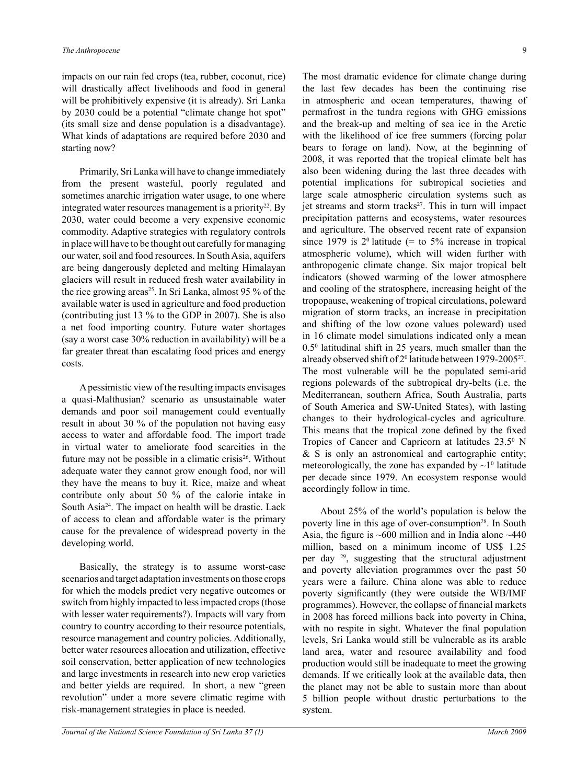impacts on our rain fed crops (tea, rubber, coconut, rice) will drastically affect livelihoods and food in general will be prohibitively expensive (it is already). Sri Lanka by 2030 could be a potential "climate change hot spot" (its small size and dense population is a disadvantage). What kinds of adaptations are required before 2030 and starting now?

Primarily, Sri Lanka will have to change immediately from the present wasteful, poorly regulated and sometimes anarchic irrigation water usage, to one where integrated water resources management is a priority<sup>22</sup>. By 2030, water could become a very expensive economic commodity. Adaptive strategies with regulatory controls in place will have to be thought out carefully for managing our water, soil and food resources. In South Asia, aquifers are being dangerously depleted and melting Himalayan glaciers will result in reduced fresh water availability in the rice growing areas<sup>25</sup>. In Sri Lanka, almost 95  $\%$  of the available water is used in agriculture and food production (contributing just 13 % to the GDP in 2007). She is also a net food importing country. Future water shortages (say a worst case 30% reduction in availability) will be a far greater threat than escalating food prices and energy costs.

A pessimistic view of the resulting impacts envisages a quasi-Malthusian? scenario as unsustainable water demands and poor soil management could eventually result in about 30 % of the population not having easy access to water and affordable food. The import trade in virtual water to ameliorate food scarcities in the future may not be possible in a climatic crisis<sup>26</sup>. Without adequate water they cannot grow enough food, nor will they have the means to buy it. Rice, maize and wheat contribute only about 50 % of the calorie intake in South Asia24. The impact on health will be drastic. Lack of access to clean and affordable water is the primary cause for the prevalence of widespread poverty in the developing world.

Basically, the strategy is to assume worst-case scenarios and target adaptation investments on those crops for which the models predict very negative outcomes or switch from highly impacted to less impacted crops (those with lesser water requirements?). Impacts will vary from country to country according to their resource potentials, resource management and country policies. Additionally, better water resources allocation and utilization, effective soil conservation, better application of new technologies and large investments in research into new crop varieties and better yields are required. In short, a new "green revolution" under a more severe climatic regime with risk-management strategies in place is needed.

The most dramatic evidence for climate change during the last few decades has been the continuing rise in atmospheric and ocean temperatures, thawing of permafrost in the tundra regions with GHG emissions and the break-up and melting of sea ice in the Arctic with the likelihood of ice free summers (forcing polar bears to forage on land). Now, at the beginning of 2008, it was reported that the tropical climate belt has also been widening during the last three decades with potential implications for subtropical societies and large scale atmospheric circulation systems such as jet streams and storm tracks<sup>27</sup>. This in turn will impact precipitation patterns and ecosystems, water resources and agriculture. The observed recent rate of expansion since 1979 is  $2^{\circ}$  latitude (= to  $5\%$  increase in tropical atmospheric volume), which will widen further with anthropogenic climate change. Six major tropical belt indicators (showed warming of the lower atmosphere and cooling of the stratosphere, increasing height of the tropopause, weakening of tropical circulations, poleward migration of storm tracks, an increase in precipitation and shifting of the low ozone values poleward) used in 16 climate model simulations indicated only a mean  $0.5<sup>0</sup>$  latitudinal shift in 25 years, much smaller than the already observed shift of  $2^0$  latitude between 1979-2005<sup>27</sup>. The most vulnerable will be the populated semi-arid regions polewards of the subtropical dry-belts (i.e. the Mediterranean, southern Africa, South Australia, parts of South America and SW-United States), with lasting changes to their hydrological-cycles and agriculture. This means that the tropical zone defined by the fixed Tropics of Cancer and Capricorn at latitudes  $23.5^{\circ}$  N & S is only an astronomical and cartographic entity; meteorologically, the zone has expanded by  $\sim$ 1<sup>0</sup> latitude per decade since 1979. An ecosystem response would accordingly follow in time.

About 25% of the world's population is below the poverty line in this age of over-consumption<sup>28</sup>. In South Asia, the figure is  $\sim 600$  million and in India alone  $\sim 440$ million, based on a minimum income of US\$ 1.25 per day 29, suggesting that the structural adjustment and poverty alleviation programmes over the past 50 years were a failure. China alone was able to reduce poverty significantly (they were outside the WB/IMF programmes). However, the collapse of financial markets in 2008 has forced millions back into poverty in China, with no respite in sight. Whatever the final population levels, Sri Lanka would still be vulnerable as its arable land area, water and resource availability and food production would still be inadequate to meet the growing demands. If we critically look at the available data, then the planet may not be able to sustain more than about 5 billion people without drastic perturbations to the system.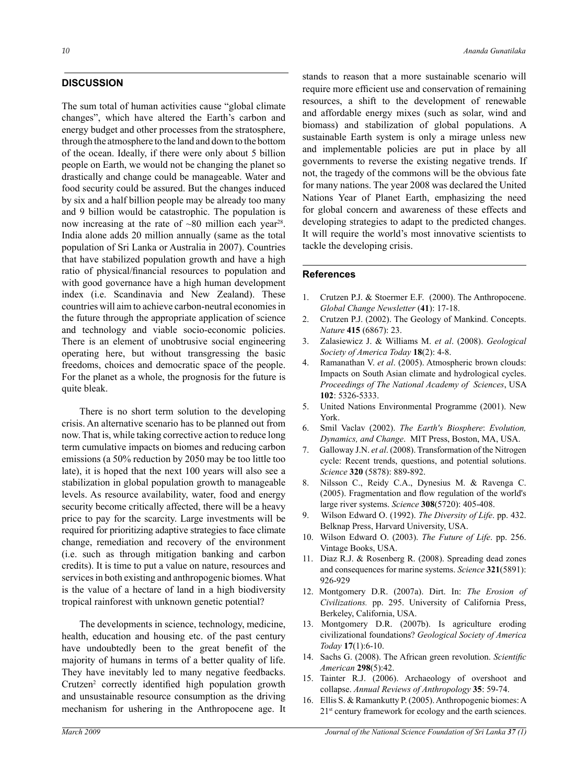## **DISCUSSION**

The sum total of human activities cause "global climate changes", which have altered the Earth's carbon and energy budget and other processes from the stratosphere, through the atmosphere to the land and down to the bottom of the ocean. Ideally, if there were only about 5 billion people on Earth, we would not be changing the planet so drastically and change could be manageable. Water and food security could be assured. But the changes induced by six and a half billion people may be already too many and 9 billion would be catastrophic. The population is now increasing at the rate of  $\sim 80$  million each year<sup>28</sup>. India alone adds 20 million annually (same as the total population of Sri Lanka or Australia in 2007). Countries that have stabilized population growth and have a high ratio of physical/financial resources to population and with good governance have a high human development index (i.e. Scandinavia and New Zealand). These countries will aim to achieve carbon-neutral economies in the future through the appropriate application of science and technology and viable socio-economic policies. There is an element of unobtrusive social engineering operating here, but without transgressing the basic freedoms, choices and democratic space of the people. For the planet as a whole, the prognosis for the future is quite bleak.

There is no short term solution to the developing crisis. An alternative scenario has to be planned out from now. That is, while taking corrective action to reduce long term cumulative impacts on biomes and reducing carbon emissions (a 50% reduction by 2050 may be too little too late), it is hoped that the next 100 years will also see a stabilization in global population growth to manageable levels. As resource availability, water, food and energy security become critically affected, there will be a heavy price to pay for the scarcity. Large investments will be required for prioritizing adaptive strategies to face climate change, remediation and recovery of the environment (i.e. such as through mitigation banking and carbon credits). It is time to put a value on nature, resources and services in both existing and anthropogenic biomes. What is the value of a hectare of land in a high biodiversity tropical rainforest with unknown genetic potential?

The developments in science, technology, medicine, health, education and housing etc. of the past century have undoubtedly been to the great benefit of the majority of humans in terms of a better quality of life. They have inevitably led to many negative feedbacks. Crutzen<sup>2</sup> correctly identified high population growth and unsustainable resource consumption as the driving mechanism for ushering in the Anthropocene age. It

stands to reason that a more sustainable scenario will require more efficient use and conservation of remaining resources, a shift to the development of renewable and affordable energy mixes (such as solar, wind and biomass) and stabilization of global populations. A sustainable Earth system is only a mirage unless new and implementable policies are put in place by all governments to reverse the existing negative trends. If not, the tragedy of the commons will be the obvious fate for many nations. The year 2008 was declared the United Nations Year of Planet Earth, emphasizing the need for global concern and awareness of these effects and developing strategies to adapt to the predicted changes. It will require the world's most innovative scientists to tackle the developing crisis.

#### **References**

- 1. Crutzen P.J. & Stoermer E.F. (2000). The Anthropocene. *Global Change Newsletter* (**41**): 17-18.
- 2. Crutzen P.J. (2002). The Geology of Mankind. Concepts. *Nature* **415** (6867): 23.
- 3. Zalasiewicz J. & Williams M. *et al*. (2008). *Geological Society of America Today* **18**(2): 4-8.
- 4. Ramanathan V. *et al*. (2005). Atmospheric brown clouds: Impacts on South Asian climate and hydrological cycles. *Proceedings of The National Academy of Sciences*, USA **102**: 5326-5333.
- 5. United Nations Environmental Programme (2001). New York.
- 6. Smil Vaclav (2002). *The Earth's Biosphere*: *Evolution, Dynamics, and Change*. MIT Press, Boston, MA, USA.
- 7. Galloway J.N. *et al*. (2008). Transformation of the Nitrogen cycle: Recent trends, questions, and potential solutions. *Science* **320** (5878): 889-892.
- 8. Nilsson C., Reidy C.A., Dynesius M. & Ravenga C. (2005). Fragmentation and flow regulation of the world's large river systems. *Science* **308**(5720): 405-408.
- 9. Wilson Edward O. (1992). *The Diversity of Life*. pp. 432. Belknap Press, Harvard University, USA.
- 10. Wilson Edward O. (2003). *The Future of Life*. pp. 256. Vintage Books, USA.
- 11. Diaz R.J. & Rosenberg R. (2008). Spreading dead zones and consequences for marine systems. *Science* **321**(5891): 926-929
- 12. Montgomery D.R. (2007a). Dirt. In: *The Erosion of Civilizations.* pp. 295. University of California Press, Berkeley, California, USA.
- 13. Montgomery D.R. (2007b). Is agriculture eroding civilizational foundations? *Geological Society of America Today* **17**(1):6-10.
- 14. Sachs G. (2008). The African green revolution. *Scientific American* **298**(5):42.
- 15. Tainter R.J. (2006). Archaeology of overshoot and collapse. *Annual Reviews of Anthropology* **35**: 59-74.
- 16. Ellis S. & Ramankutty P. (2005). Anthropogenic biomes: A 21st century framework for ecology and the earth sciences.